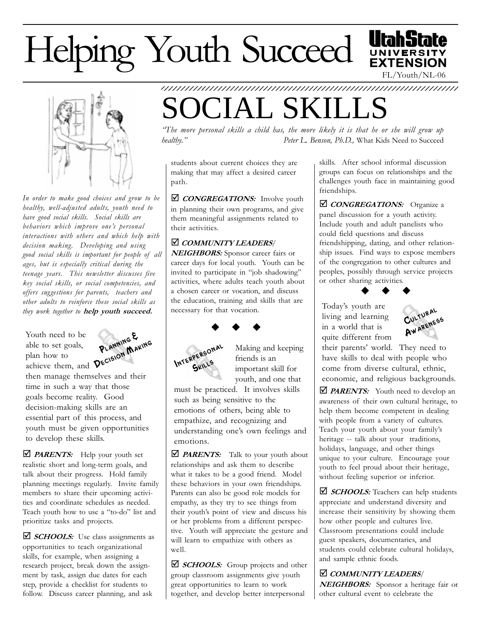# Helping Youth Succeed





In order to make good choices and grow to be healthy, well-adjusted adults, youth need to have good social skills. Social skills are behaviors which improve one's personal interactions with others and which help with decision making. Developing and using good social skills is important for people of all ages, but is especially critical during the teenage years. This newsletter discusses five key social skills, or social competencies, and offers sug gestions for parents, teachers and other adults to reinforce these social skills as they work together to help youth succeed.

Youth need to be able to set goals, plan how to achieve them, and



then manage themselves and their time in such a way that those goals become reality. Good decision-making skills are an essential part of this process, and youth must be given opportunities to develop these skills.

 $\Box$  **PARENTS:** Help your youth set realistic short and long-term goals, and talk about their progress. Hold family planning meetings regularly. Invite family members to share their upcoming activities and coordinate schedules as needed. Teach youth how to use a "to-do" list and prioritize tasks and projects.

 $\triangle$  SCHOOLS: Use class assignments as opportunities to teach organizational skills, for example, when assigning a research project, break down the assignment by task, assign due dates for each step, provide a checklist for students to follow. Discuss career planning, and ask

## CIAL SKILL

The more personal skills a child has, the more likely it is that he or she will grow up healthy." Peter L. Benson, Ph.D., What Kids Need to Succeed

1234567890123456789012345678901212345678901234567890123456789012123456789 1234567890123456789012345678901212345678901234567890123456789012123456789

students about current choices they are making that may affect a desired career path.

 $\Box$  CONGREGATIONS: Involve youth in planning their own programs, and give them meaningful assignments related to their activities.

### *COMMUNITY LEADERS/*

NEIGHBORS: Sponsor career fairs or career days for local youth. Youth can be invited to participate in "job shadowing" activities, where adults teach youth about a chosen career or vocation, and discuss the education, training and skills that are necessary for that vocation.



Skills

 Making and keeping  $M$ <sup>TERPERSONAL</sup> Making and friends is an important skill for

 youth, and one that must be practiced. It involves skills such as being sensitive to the emotions of others, being able to empathize, and recognizing and understanding one's own feelings and emotions.

 $\Box$  **PARENTS:** Talk to your youth about relationships and ask them to describe what it takes to be a good friend. Model these behaviors in your own friendships. Parents can also be good role models for empathy, as they try to see things from their youth's point of view and discuss his or her problems from a different perspective. Youth will appreciate the gesture and will learn to empathize with others as well.

⊠ *SCHOOLS*: Group projects and other group classroom assignments give youth great opportunities to learn to work together, and develop better interpersonal

skills. After school informal discussion groups can focus on relationships and the challenges youth face in maintaining good friendships.

**D** CONGREGATIONS: Organize a panel discussion for a youth activity. Include youth and adult panelists who could field questions and discuss friendshipping, dating, and other relationship issues. Find ways to expose members of the congregation to other cultures and peoples, possibly through service projects or other sharing activities.  $\bullet$   $\bullet$   $\bullet$ 

Todays youth are living and learning in a world that is quite different from



their parents' world. They need to have skills to deal with people who come from diverse cultural, ethnic, economic, and religious backgrounds.

 $\triangle$  PARENTS: Youth need to develop an awareness of their own cultural heritage, to help them become competent in dealing with people from a variety of cultures. Teach your youth about your family's heritage -- talk about your traditions, holidays, language, and other things unique to your culture. Encourage your youth to feel proud about their heritage, without feeling superior or inferior.

 $\Box$  **SCHOOLS:** Teachers can help students appreciate and understand diversity and increase their sensitivity by showing them how other people and cultures live. Classroom presentations could include guest speakers, documentaries, and students could celebrate cultural holidays, and sample ethnic foods.

## *COMMUNITY LEADERS*

NEIGHBORS: Sponsor a heritage fair or other cultural event to celebrate the